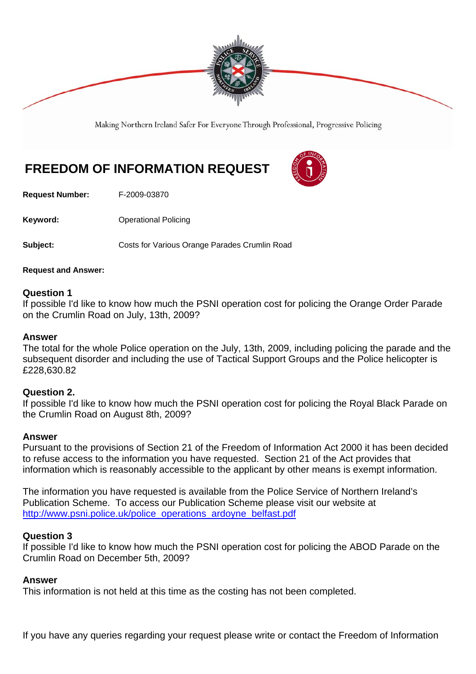

Making Northern Ireland Safer For Everyone Through Professional, Progressive Policing

# **FREEDOM OF INFORMATION REQUEST**



**Request Number:** F-2009-03870

**Keyword: Conservery Operational Policing** 

**Subject: Costs for Various Orange Parades Crumlin Road** 

## **Request and Answer:**

## **Question 1**

If possible I'd like to know how much the PSNI operation cost for policing the Orange Order Parade on the Crumlin Road on July, 13th, 2009?

## **Answer**

The total for the whole Police operation on the July, 13th, 2009, including policing the parade and the subsequent disorder and including the use of Tactical Support Groups and the Police helicopter is £228,630.82

## **Question 2.**

If possible I'd like to know how much the PSNI operation cost for policing the Royal Black Parade on the Crumlin Road on August 8th, 2009?

## **Answer**

Pursuant to the provisions of Section 21 of the Freedom of Information Act 2000 it has been decided to refuse access to the information you have requested. Section 21 of the Act provides that information which is reasonably accessible to the applicant by other means is exempt information.

The information you have requested is available from the Police Service of Northern Ireland's Publication Scheme. To access our Publication Scheme please visit our website at http://www.psni.police.uk/police\_operations\_ardoyne\_belfast.pdf

## **Question 3**

If possible I'd like to know how much the PSNI operation cost for policing the ABOD Parade on the Crumlin Road on December 5th, 2009?

## **Answer**

This information is not held at this time as the costing has not been completed.

If you have any queries regarding your request please write or contact the Freedom of Information